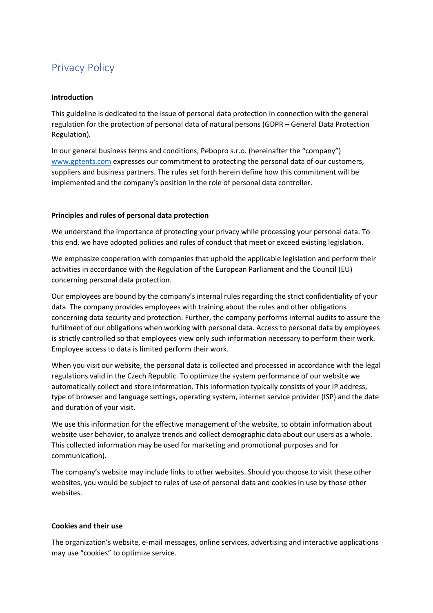# Privacy Policy

### **Introduction**

This guideline is dedicated to the issue of personal data protection in connection with the general regulation for the protection of personal data of natural persons (GDPR – General Data Protection Regulation).

In our general business terms and conditions, Pebopro s.r.o. (hereinafter the "company") [www.gptents.com](http://www.gptents.com/) expresses our commitment to protecting the personal data of our customers, suppliers and business partners. The rules set forth herein define how this commitment will be implemented and the company's position in the role of personal data controller.

# **Principles and rules of personal data protection**

We understand the importance of protecting your privacy while processing your personal data. To this end, we have adopted policies and rules of conduct that meet or exceed existing legislation.

We emphasize cooperation with companies that uphold the applicable legislation and perform their activities in accordance with the Regulation of the European Parliament and the Council (EU) concerning personal data protection.

Our employees are bound by the company's internal rules regarding the strict confidentiality of your data. The company provides employees with training about the rules and other obligations concerning data security and protection. Further, the company performs internal audits to assure the fulfilment of our obligations when working with personal data. Access to personal data by employees is strictly controlled so that employees view only such information necessary to perform their work. Employee access to data is limited perform their work.

When you visit our website, the personal data is collected and processed in accordance with the legal regulations valid in the Czech Republic. To optimize the system performance of our website we automatically collect and store information. This information typically consists of your IP address, type of browser and language settings, operating system, internet service provider (ISP) and the date and duration of your visit.

We use this information for the effective management of the website, to obtain information about website user behavior, to analyze trends and collect demographic data about our users as a whole. This collected information may be used for marketing and promotional purposes and for communication).

The company's website may include links to other websites. Should you choose to visit these other websites, you would be subject to rules of use of personal data and cookies in use by those other websites.

# **Cookies and their use**

The organization's website, e-mail messages, online services, advertising and interactive applications may use "cookies" to optimize service.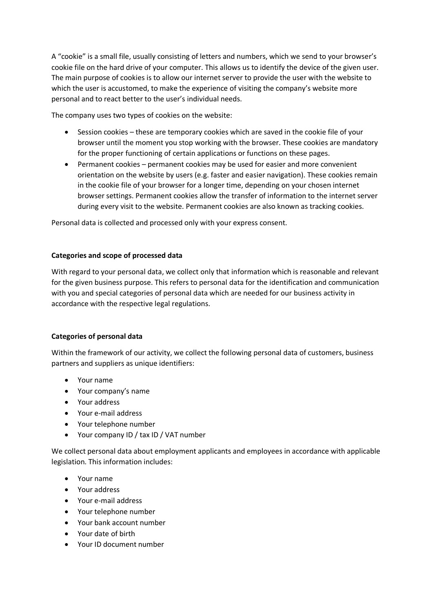A "cookie" is a small file, usually consisting of letters and numbers, which we send to your browser's cookie file on the hard drive of your computer. This allows us to identify the device of the given user. The main purpose of cookies is to allow our internet server to provide the user with the website to which the user is accustomed, to make the experience of visiting the company's website more personal and to react better to the user's individual needs.

The company uses two types of cookies on the website:

- Session cookies these are temporary cookies which are saved in the cookie file of your browser until the moment you stop working with the browser. These cookies are mandatory for the proper functioning of certain applications or functions on these pages.
- Permanent cookies permanent cookies may be used for easier and more convenient orientation on the website by users (e.g. faster and easier navigation). These cookies remain in the cookie file of your browser for a longer time, depending on your chosen internet browser settings. Permanent cookies allow the transfer of information to the internet server during every visit to the website. Permanent cookies are also known as tracking cookies.

Personal data is collected and processed only with your express consent.

# **Categories and scope of processed data**

With regard to your personal data, we collect only that information which is reasonable and relevant for the given business purpose. This refers to personal data for the identification and communication with you and special categories of personal data which are needed for our business activity in accordance with the respective legal regulations.

# **Categories of personal data**

Within the framework of our activity, we collect the following personal data of customers, business partners and suppliers as unique identifiers:

- Your name
- Your company's name
- Your address
- Your e-mail address
- Your telephone number
- Your company ID / tax ID / VAT number

We collect personal data about employment applicants and employees in accordance with applicable legislation. This information includes:

- Your name
- Your address
- Your e-mail address
- Your telephone number
- Your bank account number
- Your date of birth
- Your ID document number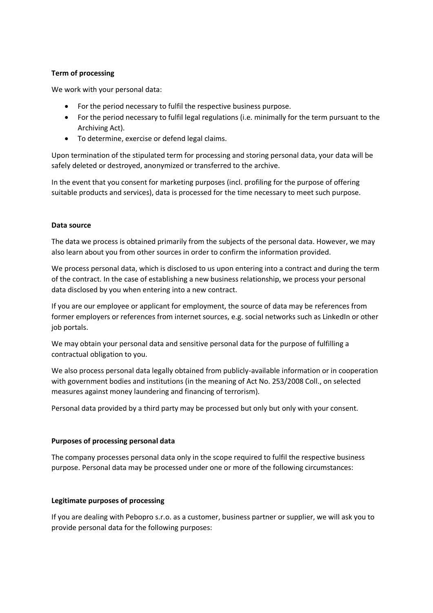# **Term of processing**

We work with your personal data:

- For the period necessary to fulfil the respective business purpose.
- For the period necessary to fulfil legal regulations (i.e. minimally for the term pursuant to the Archiving Act).
- To determine, exercise or defend legal claims.

Upon termination of the stipulated term for processing and storing personal data, your data will be safely deleted or destroyed, anonymized or transferred to the archive.

In the event that you consent for marketing purposes (incl. profiling for the purpose of offering suitable products and services), data is processed for the time necessary to meet such purpose.

# **Data source**

The data we process is obtained primarily from the subjects of the personal data. However, we may also learn about you from other sources in order to confirm the information provided.

We process personal data, which is disclosed to us upon entering into a contract and during the term of the contract. In the case of establishing a new business relationship, we process your personal data disclosed by you when entering into a new contract.

If you are our employee or applicant for employment, the source of data may be references from former employers or references from internet sources, e.g. social networks such as LinkedIn or other job portals.

We may obtain your personal data and sensitive personal data for the purpose of fulfilling a contractual obligation to you.

We also process personal data legally obtained from publicly-available information or in cooperation with government bodies and institutions (in the meaning of Act No. 253/2008 Coll., on selected measures against money laundering and financing of terrorism).

Personal data provided by a third party may be processed but only but only with your consent.

#### **Purposes of processing personal data**

The company processes personal data only in the scope required to fulfil the respective business purpose. Personal data may be processed under one or more of the following circumstances:

#### **Legitimate purposes of processing**

If you are dealing with Pebopro s.r.o. as a customer, business partner or supplier, we will ask you to provide personal data for the following purposes: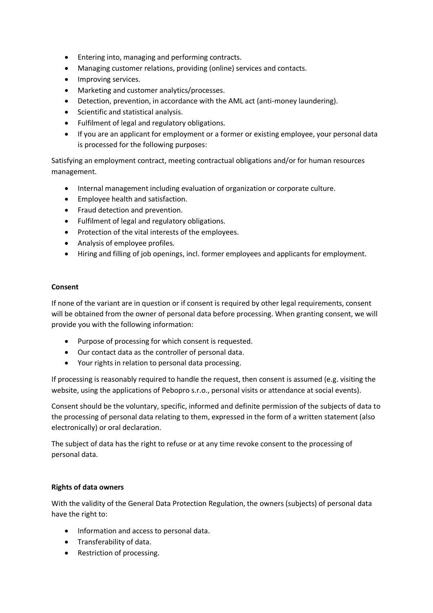- Entering into, managing and performing contracts.
- Managing customer relations, providing (online) services and contacts.
- Improving services.
- Marketing and customer analytics/processes.
- Detection, prevention, in accordance with the AML act (anti-money laundering).
- Scientific and statistical analysis.
- Fulfilment of legal and regulatory obligations.
- If you are an applicant for employment or a former or existing employee, your personal data is processed for the following purposes:

Satisfying an employment contract, meeting contractual obligations and/or for human resources management.

- Internal management including evaluation of organization or corporate culture.
- Employee health and satisfaction.
- Fraud detection and prevention.
- Fulfilment of legal and regulatory obligations.
- Protection of the vital interests of the employees.
- Analysis of employee profiles.
- Hiring and filling of job openings, incl. former employees and applicants for employment.

# **Consent**

If none of the variant are in question or if consent is required by other legal requirements, consent will be obtained from the owner of personal data before processing. When granting consent, we will provide you with the following information:

- Purpose of processing for which consent is requested.
- Our contact data as the controller of personal data.
- Your rights in relation to personal data processing.

If processing is reasonably required to handle the request, then consent is assumed (e.g. visiting the website, using the applications of Pebopro s.r.o., personal visits or attendance at social events).

Consent should be the voluntary, specific, informed and definite permission of the subjects of data to the processing of personal data relating to them, expressed in the form of a written statement (also electronically) or oral declaration.

The subject of data has the right to refuse or at any time revoke consent to the processing of personal data.

# **Rights of data owners**

With the validity of the General Data Protection Regulation, the owners (subjects) of personal data have the right to:

- Information and access to personal data.
- Transferability of data.
- Restriction of processing.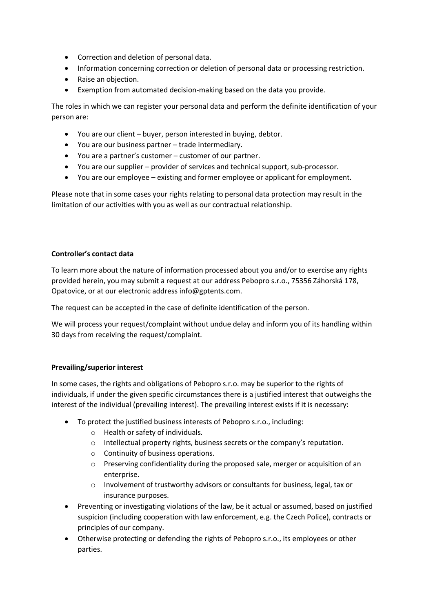- Correction and deletion of personal data.
- Information concerning correction or deletion of personal data or processing restriction.
- Raise an objection.
- Exemption from automated decision-making based on the data you provide.

The roles in which we can register your personal data and perform the definite identification of your person are:

- You are our client buyer, person interested in buying, debtor.
- You are our business partner trade intermediary.
- You are a partner's customer customer of our partner.
- You are our supplier provider of services and technical support, sub-processor.
- You are our employee existing and former employee or applicant for employment.

Please note that in some cases your rights relating to personal data protection may result in the limitation of our activities with you as well as our contractual relationship.

# **Controller's contact data**

To learn more about the nature of information processed about you and/or to exercise any rights provided herein, you may submit a request at our address Pebopro s.r.o., 75356 Záhorská 178, Opatovice, or at our electronic address info@gptents.com.

The request can be accepted in the case of definite identification of the person.

We will process your request/complaint without undue delay and inform you of its handling within 30 days from receiving the request/complaint.

#### **Prevailing/superior interest**

In some cases, the rights and obligations of Pebopro s.r.o. may be superior to the rights of individuals, if under the given specific circumstances there is a justified interest that outweighs the interest of the individual (prevailing interest). The prevailing interest exists if it is necessary:

- To protect the justified business interests of Pebopro s.r.o., including:
	- o Health or safety of individuals.
	- o Intellectual property rights, business secrets or the company's reputation.
	- o Continuity of business operations.
	- o Preserving confidentiality during the proposed sale, merger or acquisition of an enterprise.
	- o Involvement of trustworthy advisors or consultants for business, legal, tax or insurance purposes.
- Preventing or investigating violations of the law, be it actual or assumed, based on justified suspicion (including cooperation with law enforcement, e.g. the Czech Police), contracts or principles of our company.
- Otherwise protecting or defending the rights of Pebopro s.r.o., its employees or other parties.